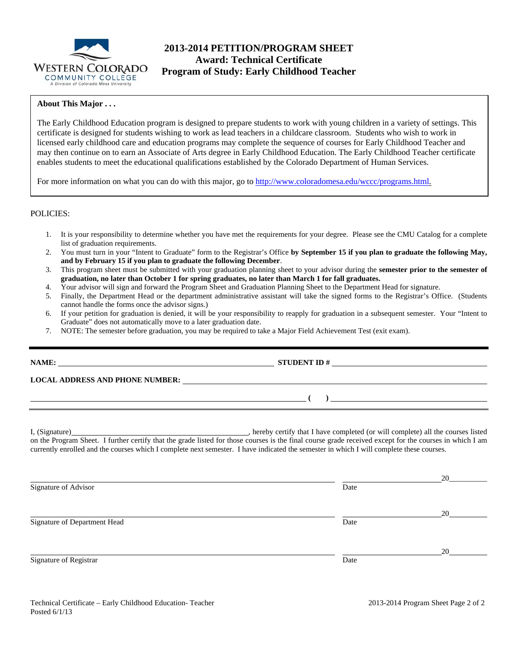

# **2013-2014 PETITION/PROGRAM SHEET Award: Technical Certificate Program of Study: Early Childhood Teacher**

### **About This Major . . .**

The Early Childhood Education program is designed to prepare students to work with young children in a variety of settings. This certificate is designed for students wishing to work as lead teachers in a childcare classroom. Students who wish to work in licensed early childhood care and education programs may complete the sequence of courses for Early Childhood Teacher and may then continue on to earn an Associate of Arts degree in Early Childhood Education. The Early Childhood Teacher certificate enables students to meet the educational qualifications established by the Colorado Department of Human Services.

For more information on what you can do with this major, go to http://www.coloradomesa.edu/wccc/programs.html.

### POLICIES:

- 1. It is your responsibility to determine whether you have met the requirements for your degree. Please see the CMU Catalog for a complete list of graduation requirements.
- 2. You must turn in your "Intent to Graduate" form to the Registrar's Office **by September 15 if you plan to graduate the following May, and by February 15 if you plan to graduate the following December**.
- 3. This program sheet must be submitted with your graduation planning sheet to your advisor during the **semester prior to the semester of graduation, no later than October 1 for spring graduates, no later than March 1 for fall graduates.**
- 4. Your advisor will sign and forward the Program Sheet and Graduation Planning Sheet to the Department Head for signature.
- 5. Finally, the Department Head or the department administrative assistant will take the signed forms to the Registrar's Office. (Students cannot handle the forms once the advisor signs.)
- 6. If your petition for graduation is denied, it will be your responsibility to reapply for graduation in a subsequent semester. Your "Intent to Graduate" does not automatically move to a later graduation date.
- 7. NOTE: The semester before graduation, you may be required to take a Major Field Achievement Test (exit exam).

| NAME:                                  | <b>STUDENT ID#</b> |  |
|----------------------------------------|--------------------|--|
| <b>LOCAL ADDRESS AND PHONE NUMBER:</b> |                    |  |
|                                        |                    |  |

I, (Signature) **Source 2008** (Signature) **, hereby certify that I have completed** (or will complete) all the courses listed on the Program Sheet. I further certify that the grade listed for those courses is the final course grade received except for the courses in which I am currently enrolled and the courses which I complete next semester. I have indicated the semester in which I will complete these courses.

|                              |      | 20 |
|------------------------------|------|----|
| Signature of Advisor         | Date |    |
|                              |      | 20 |
| Signature of Department Head | Date |    |
|                              |      | 20 |
| Signature of Registrar       | Date |    |